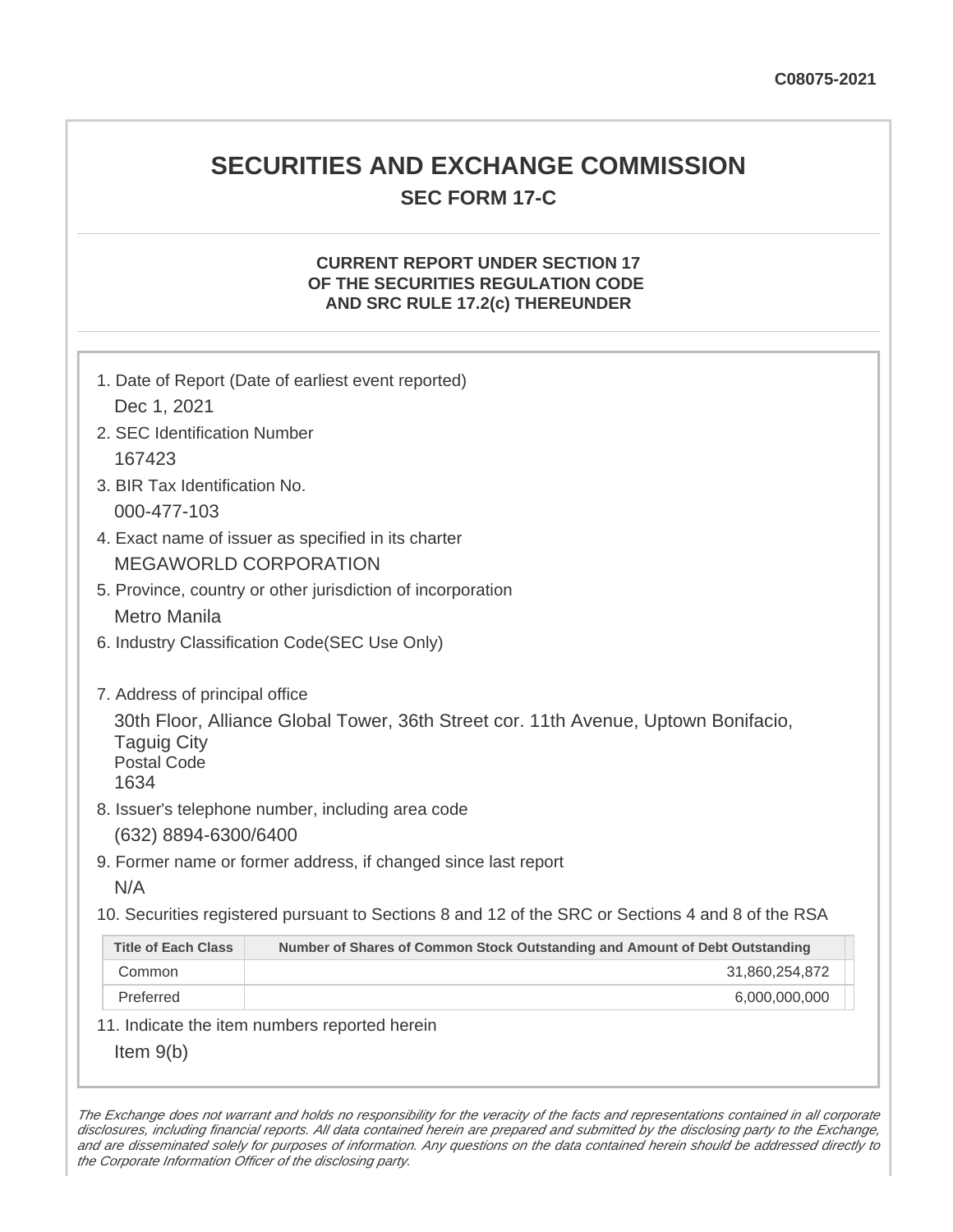## **SECURITIES AND EXCHANGE COMMISSION SEC FORM 17-C**

#### **CURRENT REPORT UNDER SECTION 17 OF THE SECURITIES REGULATION CODE AND SRC RULE 17.2(c) THEREUNDER**

| 1. Date of Report (Date of earliest event reported)                                                                                                                                                                           |                                                                             |  |
|-------------------------------------------------------------------------------------------------------------------------------------------------------------------------------------------------------------------------------|-----------------------------------------------------------------------------|--|
| Dec 1, 2021                                                                                                                                                                                                                   |                                                                             |  |
| 2. SEC Identification Number                                                                                                                                                                                                  |                                                                             |  |
| 167423                                                                                                                                                                                                                        |                                                                             |  |
| 3. BIR Tax Identification No.                                                                                                                                                                                                 |                                                                             |  |
| 000-477-103                                                                                                                                                                                                                   |                                                                             |  |
| 4. Exact name of issuer as specified in its charter                                                                                                                                                                           |                                                                             |  |
| <b>MEGAWORLD CORPORATION</b>                                                                                                                                                                                                  |                                                                             |  |
| 5. Province, country or other jurisdiction of incorporation                                                                                                                                                                   |                                                                             |  |
| <b>Metro Manila</b>                                                                                                                                                                                                           |                                                                             |  |
| 6. Industry Classification Code(SEC Use Only)                                                                                                                                                                                 |                                                                             |  |
| 7. Address of principal office<br>30th Floor, Alliance Global Tower, 36th Street cor. 11th Avenue, Uptown Bonifacio,<br><b>Taguig City</b><br><b>Postal Code</b><br>1634<br>8. Issuer's telephone number, including area code |                                                                             |  |
| (632) 8894-6300/6400                                                                                                                                                                                                          |                                                                             |  |
|                                                                                                                                                                                                                               | 9. Former name or former address, if changed since last report              |  |
| N/A                                                                                                                                                                                                                           |                                                                             |  |
| 10. Securities registered pursuant to Sections 8 and 12 of the SRC or Sections 4 and 8 of the RSA                                                                                                                             |                                                                             |  |
| <b>Title of Each Class</b>                                                                                                                                                                                                    | Number of Shares of Common Stock Outstanding and Amount of Debt Outstanding |  |
| Common                                                                                                                                                                                                                        | 31,860,254,872                                                              |  |
| Preferred                                                                                                                                                                                                                     | 6,000,000,000                                                               |  |
|                                                                                                                                                                                                                               | 11. Indicate the item numbers reported herein                               |  |
| Item $9(b)$                                                                                                                                                                                                                   |                                                                             |  |
|                                                                                                                                                                                                                               |                                                                             |  |

The Exchange does not warrant and holds no responsibility for the veracity of the facts and representations contained in all corporate disclosures, including financial reports. All data contained herein are prepared and submitted by the disclosing party to the Exchange, and are disseminated solely for purposes of information. Any questions on the data contained herein should be addressed directly to the Corporate Information Officer of the disclosing party.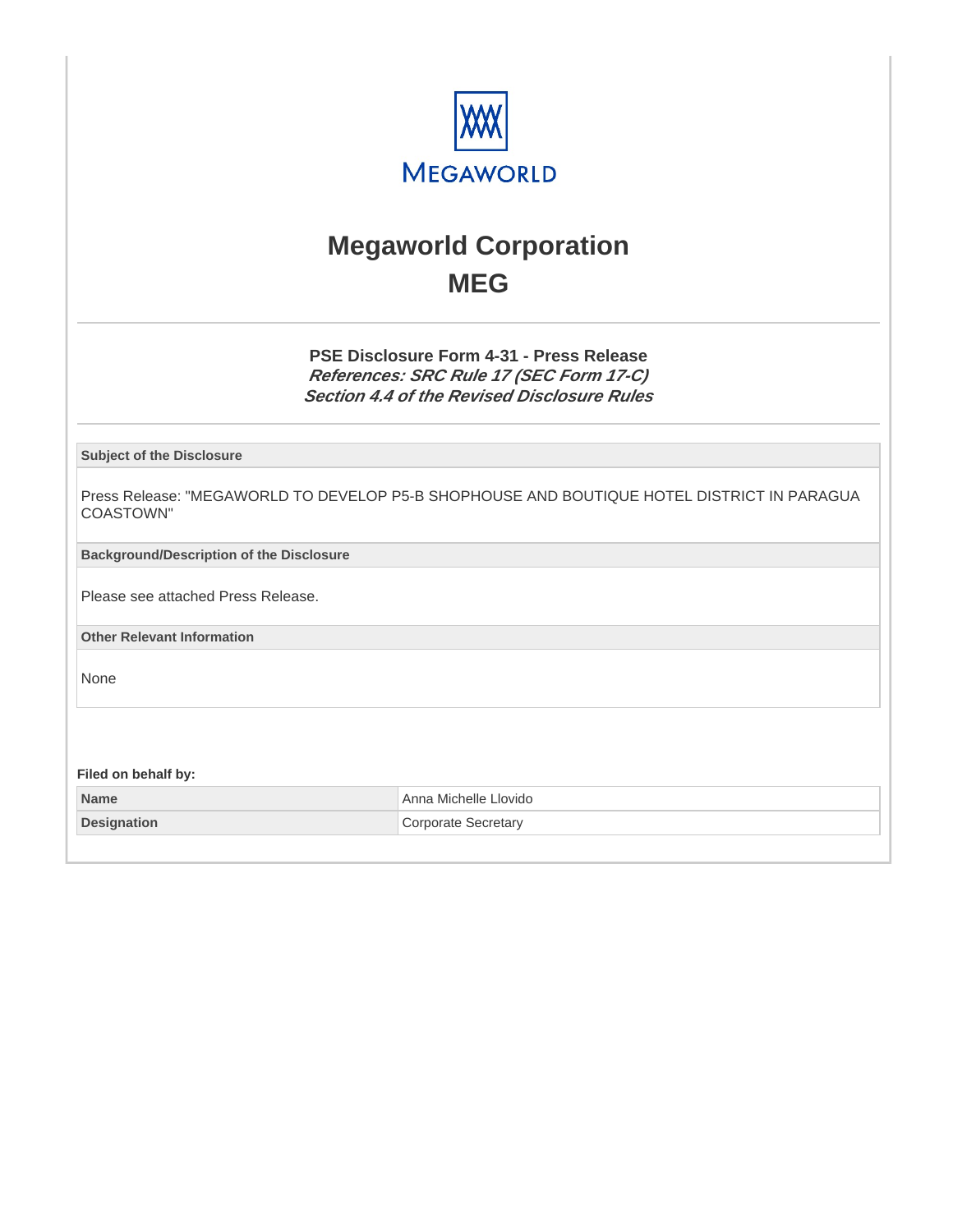

# **Megaworld Corporation MEG**

**PSE Disclosure Form 4-31 - Press Release References: SRC Rule 17 (SEC Form 17-C) Section 4.4 of the Revised Disclosure Rules**

**Subject of the Disclosure**

Press Release: "MEGAWORLD TO DEVELOP P5-B SHOPHOUSE AND BOUTIQUE HOTEL DISTRICT IN PARAGUA COASTOWN"

**Background/Description of the Disclosure**

Please see attached Press Release.

**Other Relevant Information**

None

**Filed on behalf by:**

| Name               | Anna Michelle Llovido |
|--------------------|-----------------------|
| <b>Designation</b> | Corporate Secretary   |
|                    |                       |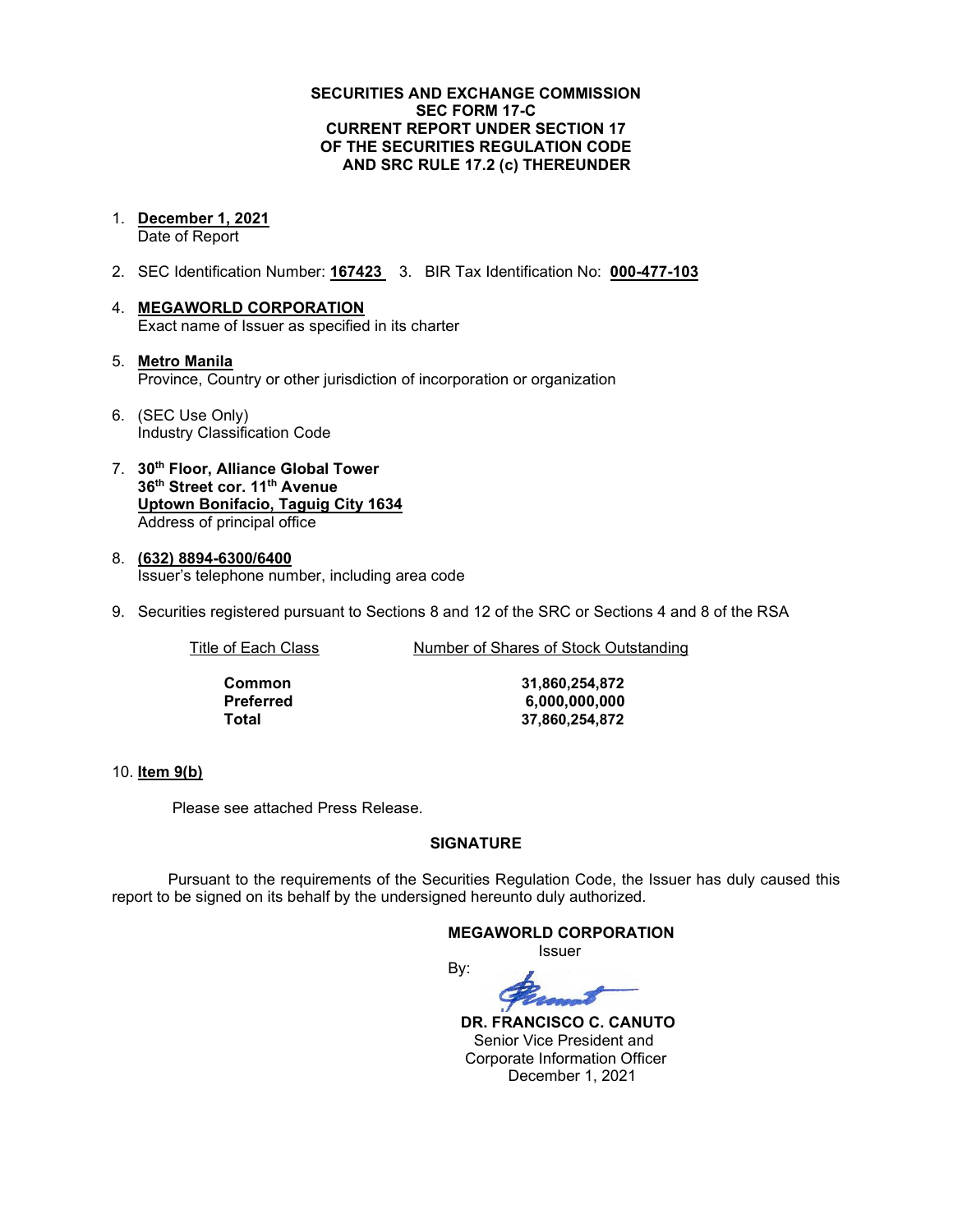#### **SECURITIES AND EXCHANGE COMMISSION SEC FORM 17-C CURRENT REPORT UNDER SECTION 17 OF THE SECURITIES REGULATION CODE AND SRC RULE 17.2 (c) THEREUNDER**

1. **December 1, 2021**

Date of Report

- 2. SEC Identification Number: **167423** 3. BIR Tax Identification No: **000-477-103**
- 4. **MEGAWORLD CORPORATION** Exact name of Issuer as specified in its charter
- 5. **Metro Manila** Province, Country or other jurisdiction of incorporation or organization
- 6. (SEC Use Only) Industry Classification Code
- 7. **30th Floor, Alliance Global Tower 36th Street cor. 11th Avenue Uptown Bonifacio, Taguig City 1634** Address of principal office
- 8. **(632) 8894-6300/6400** Issuer's telephone number, including area code
- 9. Securities registered pursuant to Sections 8 and 12 of the SRC or Sections 4 and 8 of the RSA

Title of Each Class Number of Shares of Stock Outstanding

**Common 31,860,254,872 Preferred 6,000,000,000 Total 37,860,254,872**

#### 10. **Item 9(b)**

Please see attached Press Release.

#### **SIGNATURE**

Pursuant to the requirements of the Securities Regulation Code, the Issuer has duly caused this report to be signed on its behalf by the undersigned hereunto duly authorized.

#### **MEGAWORLD CORPORATION**

Issuer

By:

 **DR. FRANCISCO C. CANUTO** Senior Vice President and Corporate Information Officer December 1, 2021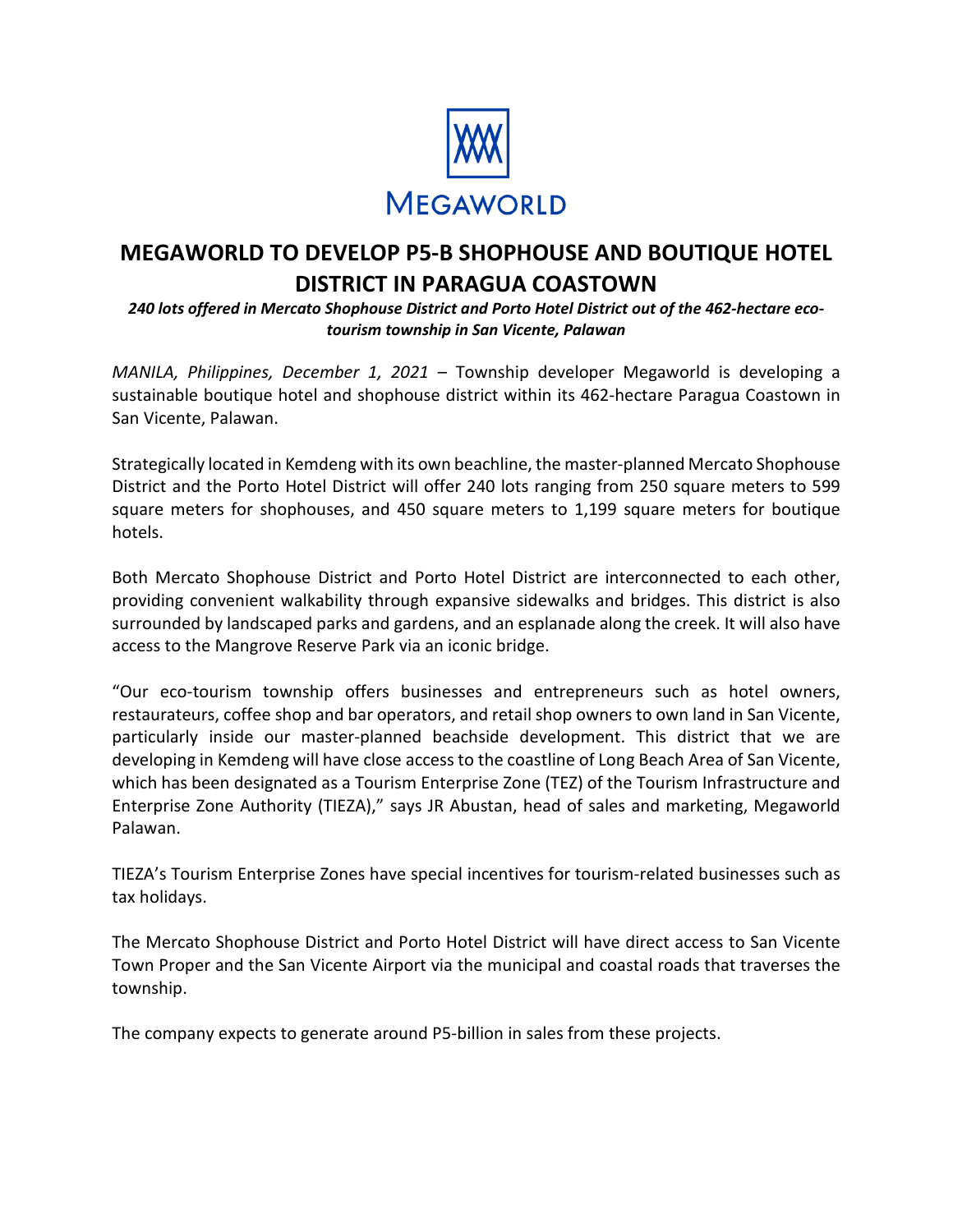

### **MEGAWORLD TO DEVELOP P5-B SHOPHOUSE AND BOUTIQUE HOTEL DISTRICT IN PARAGUA COASTOWN**

*240 lots offered in Mercato Shophouse District and Porto Hotel District out of the 462-hectare ecotourism township in San Vicente, Palawan*

*MANILA, Philippines, December 1, 2021 –* Township developer Megaworld is developing a sustainable boutique hotel and shophouse district within its 462-hectare Paragua Coastown in San Vicente, Palawan.

Strategically located in Kemdeng with its own beachline, the master-planned Mercato Shophouse District and the Porto Hotel District will offer 240 lots ranging from 250 square meters to 599 square meters for shophouses, and 450 square meters to 1,199 square meters for boutique hotels.

Both Mercato Shophouse District and Porto Hotel District are interconnected to each other, providing convenient walkability through expansive sidewalks and bridges. This district is also surrounded by landscaped parks and gardens, and an esplanade along the creek. It will also have access to the Mangrove Reserve Park via an iconic bridge.

"Our eco-tourism township offers businesses and entrepreneurs such as hotel owners, restaurateurs, coffee shop and bar operators, and retail shop owners to own land in San Vicente, particularly inside our master-planned beachside development. This district that we are developing in Kemdeng will have close access to the coastline of Long Beach Area of San Vicente, which has been designated as a Tourism Enterprise Zone (TEZ) of the Tourism Infrastructure and Enterprise Zone Authority (TIEZA)," says JR Abustan, head of sales and marketing, Megaworld Palawan.

TIEZA's Tourism Enterprise Zones have special incentives for tourism-related businesses such as tax holidays.

The Mercato Shophouse District and Porto Hotel District will have direct access to San Vicente Town Proper and the San Vicente Airport via the municipal and coastal roads that traverses the township.

The company expects to generate around P5-billion in sales from these projects.